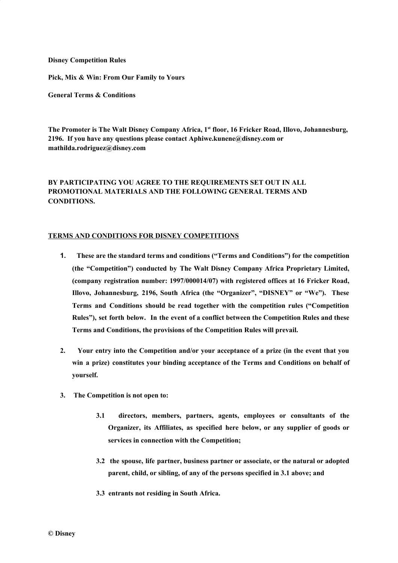**Disney Competition Rules**

**Pick, Mix & Win: From Our Family to Yours**

**General Terms & Conditions**

**The Promoter is The Walt Disney Company Africa, 1st floor, 16 Fricker Road, Illovo, Johannesburg, 2196. If you have any questions please contact Aphiwe.kunene@disney.com or mathilda.rodriguez@disney.com**

## **BY PARTICIPATING YOU AGREE TO THE REQUIREMENTS SET OUT IN ALL PROMOTIONAL MATERIALS AND THE FOLLOWING GENERAL TERMS AND CONDITIONS.**

## **TERMS AND CONDITIONS FOR DISNEY COMPETITIONS**

- **1. These are the standard terms and conditions ("Terms and Conditions") for the competition (the "Competition") conducted by The Walt Disney Company Africa Proprietary Limited, (company registration number: 1997/000014/07) with registered offices at 16 Fricker Road, Illovo, Johannesburg, 2196, South Africa (the "Organizer", "DISNEY" or "We"). These Terms and Conditions should be read together with the competition rules ("Competition Rules"), set forth below. In the event of a conflict between the Competition Rules and these Terms and Conditions, the provisions of the Competition Rules will prevail.**
- **2. Your entry into the Competition and/or your acceptance of a prize (in the event that you win a prize) constitutes your binding acceptance of the Terms and Conditions on behalf of yourself.**
- **3. The Competition is not open to:**
	- **3.1 directors, members, partners, agents, employees or consultants of the Organizer, its Affiliates, as specified here below, or any supplier of goods or services in connection with the Competition;**
	- **3.2 the spouse, life partner, business partner or associate, or the natural or adopted parent, child, or sibling, of any of the persons specified in 3.1 above; and**
	- **3.3 entrants not residing in South Africa.**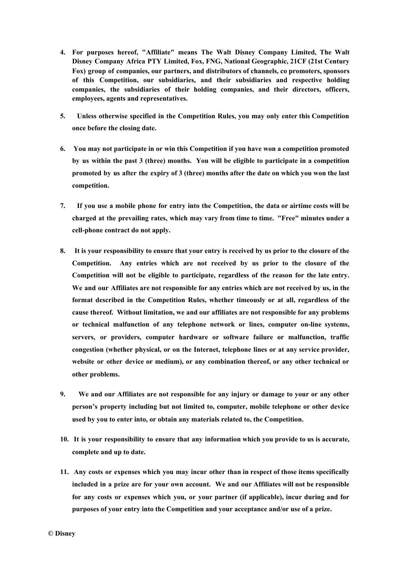- **4. For purposes hereof, "Affiliate" means The Walt Disney Company Limited, The Walt Disney Company Africa PTY Limited, Fox, FNG, National Geographic, 21CF (21st Century Fox) group of companies, our partners, and distributors of channels, co promoters, sponsors of this Competition, our subsidiaries, and their subsidiaries and respective holding companies, the subsidiaries of their holding companies, and their directors, officers, employees, agents and representatives.**
- **5. Unless otherwise specified in the Competition Rules, you may only enter this Competition once before the closing date.**
- **6. You may not participate in or win this Competition if you have won a competition promoted by us within the past 3 (three) months. You will be eligible to participate in a competition** promoted by us after the expiry of 3 (three) months after the date on which you won the last **competition.**
- 7. If you use a mobile phone for entry into the Competition, the data or airtime costs will be **charged at the prevailing rates, which may vary from time to time. "Free" minutes under a cell-phone contract do not apply.**
- 8. It is your responsibility to ensure that your entry is received by us prior to the closure of the **Competition. Any entries which are not received by us prior to the closure of the Competition will not be eligible to participate, regardless of the reason for the late entry. We and our Affiliates are not responsible for any entries which are not received by us, in the format described in the Competition Rules, whether timeously or at all, regardless of the cause thereof. Without limitation, we and our affiliates are not responsible for any problems or technical malfunction of any telephone network or lines, computer on-line systems, servers, or providers, computer hardware or software failure or malfunction, traffic congestion (whether physical, or on the Internet, telephone lines or at any service provider, website or other device or medium), or any combination thereof, or any other technical or other problems.**
- **9. We and our Affiliates are not responsible for any injury or damage to your or any other person's property including but not limited to, computer, mobile telephone or other device used by you to enter into, or obtain any materials related to, the Competition.**
- **10. It is your responsibility to ensure that any information which you provide to us is accurate, complete and up to date.**
- **11. Any costs or expenses which you may incur other than in respect of those items specifically included in a prize are for your own account. We and our Affiliates will not be responsible for any costs or expenses which you, or your partner (if applicable), incur during and for purposes of your entry into the Competition and your acceptance and/or use of a prize.**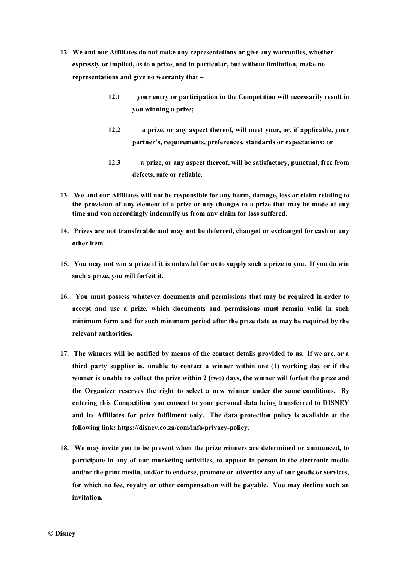- **12. We and our Affiliates do not make any representations or give any warranties, whether expressly or implied, as to a prize, and in particular, but without limitation, make no representations and give no warranty that –**
	- **12.1 your entry or participation in the Competition will necessarily result in you winning a prize;**
	- **12.2 a prize, or any aspect thereof, will meet your, or, if applicable, your partner's, requirements, preferences, standards or expectations; or**
	- **12.3 a prize, or any aspect thereof, will be satisfactory, punctual, free from defects, safe or reliable.**
- **13. We and our Affiliates will not be responsible for any harm, damage, loss or claim relating to** the provision of any element of a prize or any changes to a prize that may be made at any **time and you accordingly indemnify us from any claim for loss suffered.**
- **14. Prizes are not transferable and may not be deferred, changed or exchanged for cash or any other item.**
- 15. You may not win a prize if it is unlawful for us to supply such a prize to you. If you do win **such a prize, you will forfeit it.**
- **16. You must possess whatever documents and permissions that may be required in order to accept and use a prize, which documents and permissions must remain valid in such minimum form and for such minimum period after the prize date as may be required by the relevant authorities.**
- 17. The winners will be notified by means of the contact details provided to us. If we are, or a **third party supplier is, unable to contact a winner within one (1) working day or if the winner is unable to collect the prize within 2 (two) days, the winner will forfeit the prize and the Organizer reserves the right to select a new winner under the same conditions. By entering this Competition you consent to your personal data being transferred to DISNEY and its Affiliates for prize fulfilment only. The data protection policy is available at the following link[: https://disney.co.za/com/info/privacy-policy.](https://disney.co.za/com/info/privacy-policy)**
- **18. We may invite you to be present when the prize winners are determined or announced, to participate in any of our marketing activities, to appear in person in the electronic media and/or the print media, and/or to endorse, promote or advertise any of our goods or services, for which no fee, royalty or other compensation will be payable. You may decline such an invitation.**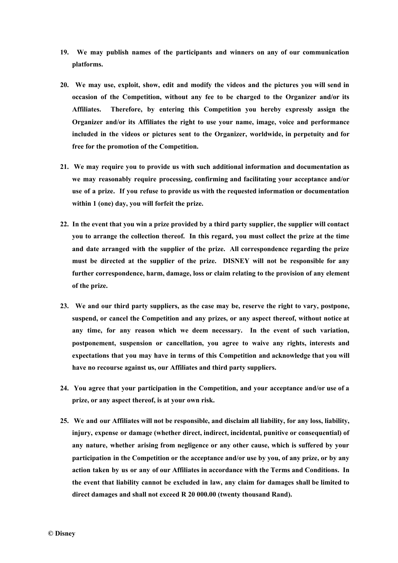- **19. We may publish names of the participants and winners on any of our communication platforms.**
- **20. We may use, exploit, show, edit and modify the videos and the pictures you will send in occasion of the Competition, without any fee to be charged to the Organizer and/or its Affiliates. Therefore, by entering this Competition you hereby expressly assign the Organizer and/or its Affiliates the right to use your name, image, voice and performance included in the videos or pictures sent to the Organizer, worldwide, in perpetuity and for free for the promotion of the Competition.**
- **21. We may require you to provide us with such additional information and documentation as we may reasonably require processing, confirming and facilitating your acceptance and/or use of a prize. If you refuse to provide us with the requested information or documentation within 1 (one) day, you will forfeit the prize.**
- 22. In the event that you win a prize provided by a third party supplier, the supplier will contact **you to arrange the collection thereof. In this regard, you must collect the prize at the time and date arranged with the supplier of the prize. All correspondence regarding the prize must be directed at the supplier of the prize. DISNEY will not be responsible for any further correspondence, harm, damage, loss or claim relating to the provision of any element of the prize.**
- **23. We and our third party suppliers, as the case may be, reserve the right to vary, postpone, suspend, or cancel the Competition and any prizes, or any aspect thereof, without notice at any time, for any reason which we deem necessary. In the event of such variation, postponement, suspension or cancellation, you agree to waive any rights, interests and expectations that you may have in terms of this Competition and acknowledge that you will have no recourse against us, our Affiliates and third party suppliers.**
- **24. You agree that your participation in the Competition, and your acceptance and/or use of a prize, or any aspect thereof, is at your own risk.**
- **25. We and our Affiliates will not be responsible, and disclaim all liability, for any loss, liability, injury, expense or damage (whether direct, indirect, incidental, punitive or consequential) of any nature, whether arising from negligence or any other cause, which is suffered by your participation in the Competition or the acceptance and/or use by you, of any prize, or by any action taken by us or any of our Affiliates in accordance with the Terms and Conditions. In the event that liability cannot be excluded in law, any claim for damages shall be limited to direct damages and shall not exceed R 20 000.00 (twenty thousand Rand).**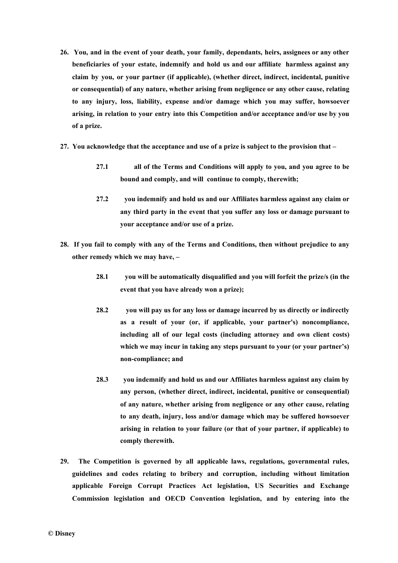- **26. You, and in the event of your death, your family, dependants, heirs, assignees or any other beneficiaries of your estate, indemnify and hold us and our affiliate harmless against any claim by you, or your partner (if applicable), (whether direct, indirect, incidental, punitive or consequential) of any nature, whether arising from negligence or any other cause, relating to any injury, loss, liability, expense and/or damage which you may suffer, howsoever arising, in relation to your entry into this Competition and/or acceptance and/or use by you of a prize.**
- **27. You acknowledge that the acceptance and use of a prize is subject to the provision that –**
	- **27.1 all of the Terms and Conditions will apply to you, and you agree to be bound and comply, and will continue to comply, therewith;**
	- **27.2 you indemnify and hold us and our Affiliates harmless against any claim or any third party in the event that you suffer any loss or damage pursuant to your acceptance and/or use of a prize.**
- **28. If you fail to comply with any of the Terms and Conditions, then without prejudice to any other remedy which we may have, –**
	- **28.1 you will be automatically disqualified and you will forfeit the prize/s (in the event that you have already won a prize);**
	- **28.2 you will pay us for any loss or damage incurred by us directly or indirectly as a result of your (or, if applicable, your partner's) noncompliance, including all of our legal costs (including attorney and own client costs) which we may incur in taking any steps pursuant to your (or your partner's) non-compliance; and**
	- **28.3 you indemnify and hold us and our Affiliates harmless against any claim by any person, (whether direct, indirect, incidental, punitive or consequential) of any nature, whether arising from negligence or any other cause, relating to any death, injury, loss and/or damage which may be suffered howsoever arising in relation to your failure (or that of your partner, if applicable) to comply therewith.**
- **29. The Competition is governed by all applicable laws, regulations, governmental rules, guidelines and codes relating to bribery and corruption, including without limitation applicable Foreign Corrupt Practices Act legislation, US Securities and Exchange Commission legislation and OECD Convention legislation, and by entering into the**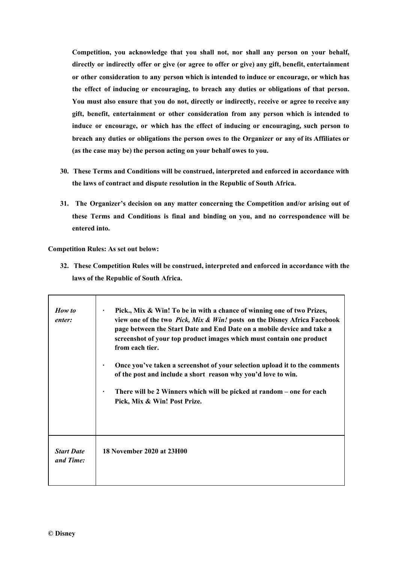**Competition, you acknowledge that you shall not, nor shall any person on your behalf, directly or indirectly offer or give (or agree to offer or give) any gift, benefit, entertainment or other consideration to any person which is intended to induce or encourage, or which has the effect of inducing or encouraging, to breach any duties or obligations of that person. You must also ensure that you do not, directly or indirectly, receive or agree to receive any gift, benefit, entertainment or other consideration from any person which is intended to induce or encourage, or which has the effect of inducing or encouraging, such person to breach any duties or obligations the person owes to the Organizer or any of its Affiliates or (as the case may be) the person acting on your behalf owes to you.**

- **30. These Terms and Conditions will be construed, interpreted and enforced in accordance with the laws of contract and dispute resolution in the Republic of South Africa.**
- **31. The Organizer's decision on any matter concerning the Competition and/or arising out of these Terms and Conditions is final and binding on you, and no correspondence will be entered into.**

**Competition Rules: As set out below:**

**32. These Competition Rules will be construed, interpreted and enforced in accordance with the laws of the Republic of South Africa.**

| How to<br>enter:               | Pick., Mix & Win! To be in with a chance of winning one of two Prizes,<br>view one of the two Pick, Mix & Win! posts on the Disney Africa Facebook<br>page between the Start Date and End Date on a mobile device and take a<br>screenshot of your top product images which must contain one product<br>from each tier.<br>Once you've taken a screenshot of your selection upload it to the comments<br>of the post and include a short reason why you'd love to win.<br>There will be 2 Winners which will be picked at random – one for each<br>Pick, Mix & Win! Post Prize. |
|--------------------------------|---------------------------------------------------------------------------------------------------------------------------------------------------------------------------------------------------------------------------------------------------------------------------------------------------------------------------------------------------------------------------------------------------------------------------------------------------------------------------------------------------------------------------------------------------------------------------------|
| <b>Start Date</b><br>and Time: | 18 November 2020 at 23H00                                                                                                                                                                                                                                                                                                                                                                                                                                                                                                                                                       |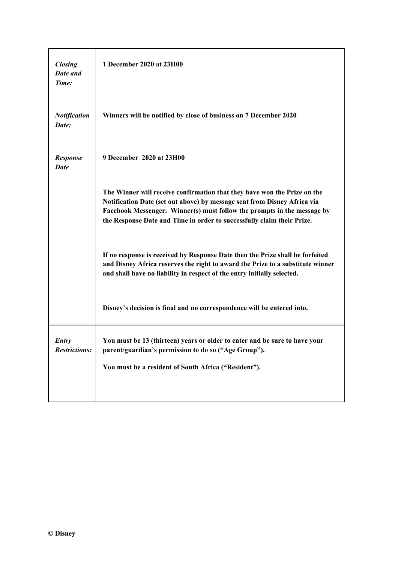| <b>Closing</b><br>Date and<br>Time: | 1 December 2020 at 23H00                                                                                                                                                                                                                                                                                  |
|-------------------------------------|-----------------------------------------------------------------------------------------------------------------------------------------------------------------------------------------------------------------------------------------------------------------------------------------------------------|
| <b>Notification</b><br>Date:        | Winners will be notified by close of business on 7 December 2020                                                                                                                                                                                                                                          |
| <b>Response</b><br><b>Date</b>      | 9 December 2020 at 23H00                                                                                                                                                                                                                                                                                  |
|                                     | The Winner will receive confirmation that they have won the Prize on the<br>Notification Date (set out above) by message sent from Disney Africa via<br>Facebook Messenger. Winner(s) must follow the prompts in the message by<br>the Response Date and Time in order to successfully claim their Prize. |
|                                     | If no response is received by Response Date then the Prize shall be forfeited<br>and Disney Africa reserves the right to award the Prize to a substitute winner<br>and shall have no liability in respect of the entry initially selected.                                                                |
|                                     | Disney's decision is final and no correspondence will be entered into.                                                                                                                                                                                                                                    |
| Entry<br><b>Restrictions:</b>       | You must be 13 (thirteen) years or older to enter and be sure to have your<br>parent/guardian's permission to do so ("Age Group").                                                                                                                                                                        |
|                                     | You must be a resident of South Africa ("Resident").                                                                                                                                                                                                                                                      |